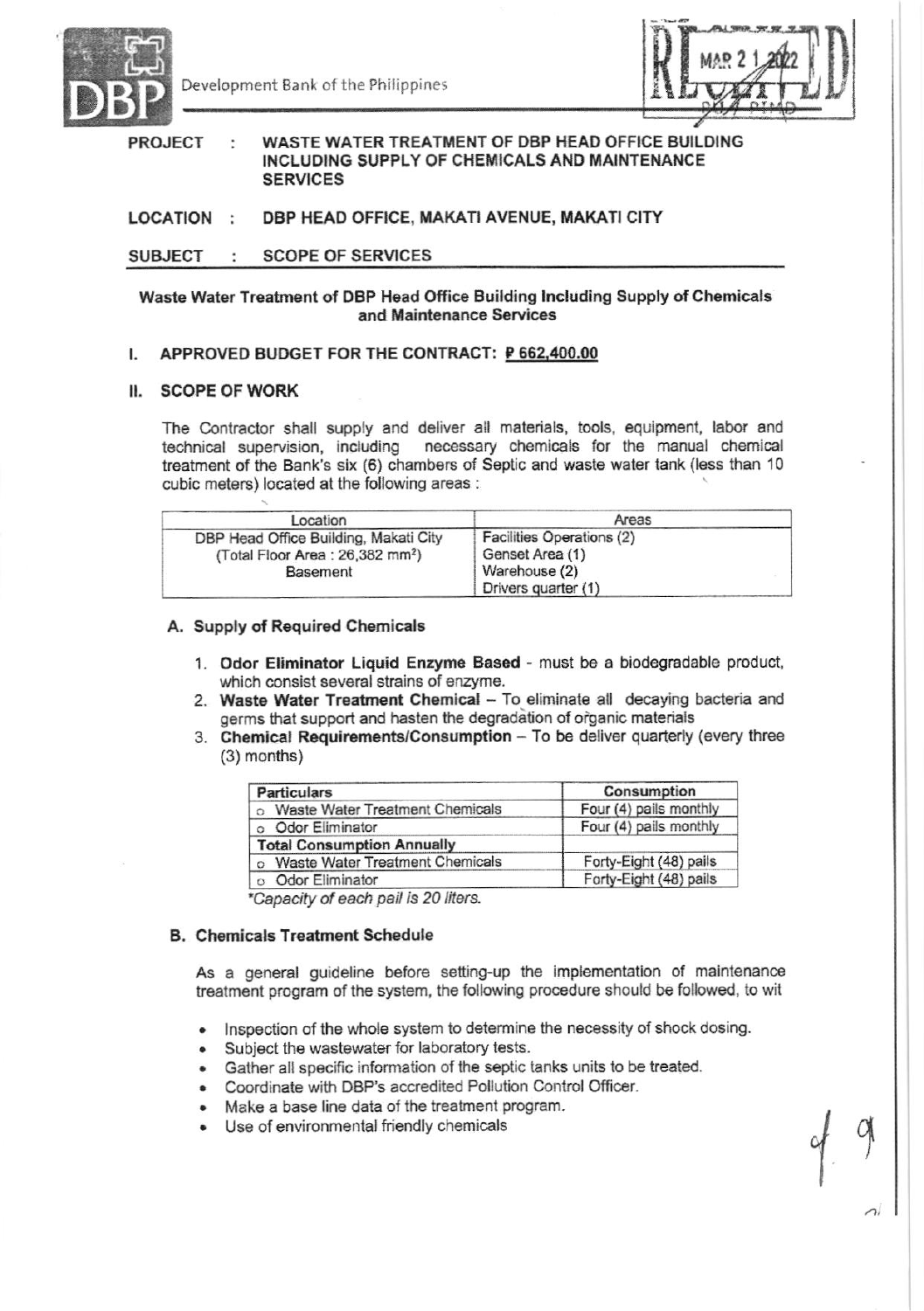

Development Bank of the Philippines



### WASTE WATER TREATMENT OF DBP HEAD OFFICE BUILDING **PROJECT**  $\cdot$ INCLUDING SUPPLY OF CHEMICALS AND MAINTENANCE **SERVICES**

#### DBP HEAD OFFICE, MAKATI AVENUE, MAKATI CITY LOCATION :

#### **SUBJECT SCOPE OF SERVICES** ÷

# Waste Water Treatment of DBP Head Office Building Including Supply of Chemicals and Maintenance Services

#### APPROVED BUDGET FOR THE CONTRACT: P 662,400.00  $\mathsf{L}$

# II. SCOPE OF WORK

The Contractor shall supply and deliver all materials, tools, equipment, labor and technical supervision, including necessary chemicals for the manual chemical treatment of the Bank's six (6) chambers of Septic and waste water tank (less than 10 cubic meters) located at the following areas :

| Location                                    | Areas                     |  |
|---------------------------------------------|---------------------------|--|
| DBP Head Office Building, Makati City       | Facilities Operations (2) |  |
| (Total Floor Area: 26,382 mm <sup>2</sup> ) | Genset Area (1)           |  |
| <b>Basement</b>                             | Warehouse (2)             |  |
|                                             | Drivers quarter (1)       |  |

# A. Supply of Required Chemicals

- 1. Odor Eliminator Liquid Enzyme Based must be a biodegradable product, which consist several strains of enzyme.
- 2. Waste Water Treatment Chemical To eliminate all decaying bacteria and germs that support and hasten the degradation of organic materials
- 3. Chemical Requirements/Consumption To be deliver quarterly (every three  $(3)$  months)

| <b>Particulars</b>                | Consumption            |
|-----------------------------------|------------------------|
| Waste Water Treatment Chemicals   | Four (4) pails monthly |
| Odor Eliminator                   | Four (4) pails monthly |
| <b>Total Consumption Annually</b> |                        |
| Waste Water Treatment Chemicals   | Forty-Eight (48) pails |
| Odor Eliminator                   | Forty-Eight (48) pails |

\*Capacity of each pail is 20 liters.

# **B. Chemicals Treatment Schedule**

As a general guideline before setting-up the implementation of maintenance treatment program of the system, the following procedure should be followed, to wit

- Inspection of the whole system to determine the necessity of shock dosing.
- Subject the wastewater for laboratory tests.
- Gather all specific information of the septic tanks units to be treated.
- Coordinate with DBP's accredited Pollution Control Officer.
- Make a base line data of the treatment program.
- Use of environmental friendly chemicals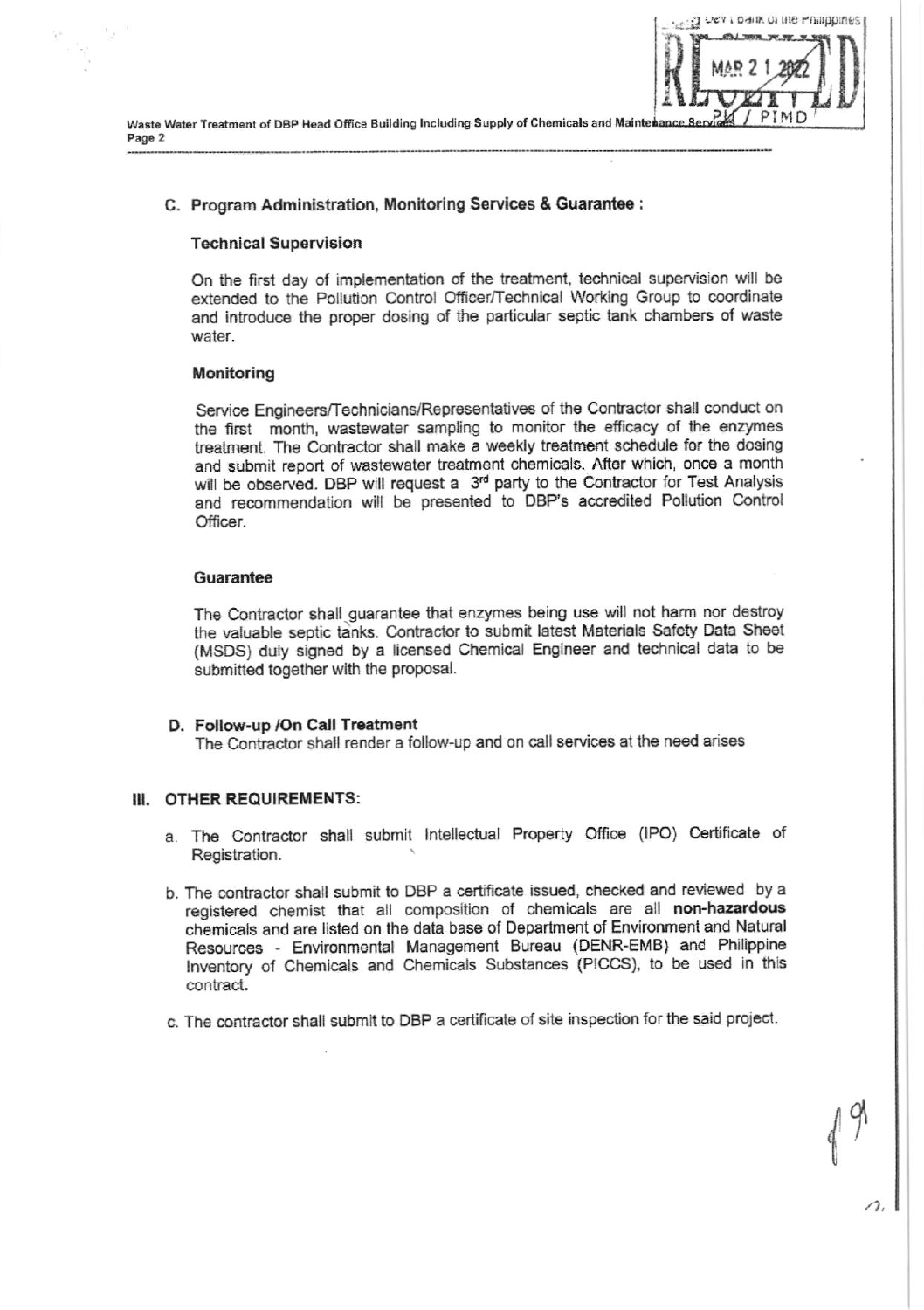

# C. Program Administration, Monitoring Services & Guarantee :

## **Technical Supervision**

On the first day of implementation of the treatment, technical supervision will be extended to the Pollution Control Officer/Technical Working Group to coordinate and introduce the proper dosing of the particular septic tank chambers of waste water.

Condition to be the Philippines.

### Monitoring

Service Engineers/Technicians/Representatives of the Contractor shall conduct on the first month, wastewater sampling to monitor the efficacy of the enzymes treatment. The Contractor shall make a weekly treatment schedule for the dosing and submit report of wastewater treatment chemicals. After which, once a month will be observed. DBP will request a 3rd party to the Contractor for Test Analysis and recommendation will be presented to DBP's accredited Pollution Control Officer.

# Guarantee

The Contractor shall guarantee that enzymes being use will not harm nor destroy the valuable septic tanks. Contractor to submit latest Materials Safety Data Sheet (MSDS) duly signed by a licensed Chemical Engineer and technical data to be submitted together with the proposal.

### D. Follow-up / On Call Treatment

The Contractor shall render a follow-up and on call services at the need arises

### III. OTHER REQUIREMENTS:

- a. The Contractor shall submit Intellectual Property Office (IPO) Certificate of Registration.
- b. The contractor shall submit to DBP a certificate issued, checked and reviewed by a registered chemist that all composition of chemicals are all non-hazardous chemicals and are listed on the data base of Department of Environment and Natural Resources - Environmental Management Bureau (DENR-EMB) and Philippine Inventory of Chemicals and Chemicals Substances (PICCS), to be used in this contract.
- c. The contractor shall submit to DBP a certificate of site inspection for the said project.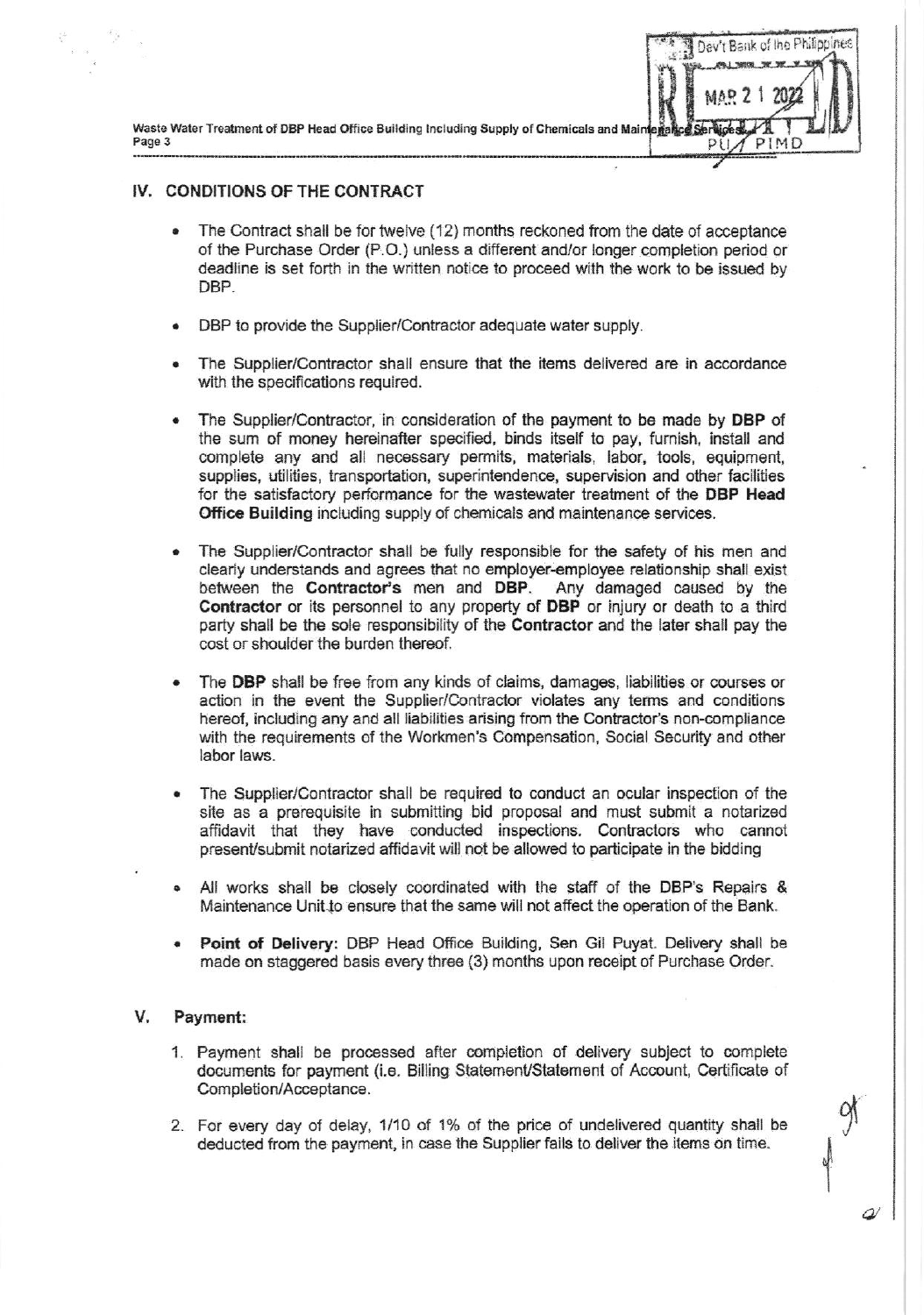Waste Water Treatment of DBP Head Office Building Including Supply of Chemicals and Maint Page 3

# IV. CONDITIONS OF THE CONTRACT

- The Contract shall be for twelve (12) months reckoned from the date of acceptance of the Purchase Order (P.O.) unless a different and/or longer completion period or deadline is set forth in the written notice to proceed with the work to be issued by DBP.
- DBP to provide the Supplier/Contractor adequate water supply.
- The Supplier/Contractor shall ensure that the items delivered are in accordance with the specifications required.
- The Supplier/Contractor, in consideration of the payment to be made by DBP of the sum of money hereinafter specified, binds itself to pay, furnish, install and complete any and all necessary permits, materials, labor, tools, equipment, supplies, utilities, transportation, superintendence, supervision and other facilities for the satisfactory performance for the wastewater treatment of the DBP Head Office Building including supply of chemicals and maintenance services.
- The Supplier/Contractor shall be fully responsible for the safety of his men and clearly understands and agrees that no employer-employee relationship shall exist between the Contractor's men and DBP. Any damaged caused by the Contractor or its personnel to any property of DBP or injury or death to a third party shall be the sole responsibility of the Contractor and the later shall pay the cost or shoulder the burden thereof.
- The DBP shall be free from any kinds of claims, damages, liabilities or courses or action in the event the Supplier/Contractor violates any terms and conditions hereof, including any and all liabilities arising from the Contractor's non-compliance with the requirements of the Workmen's Compensation, Social Security and other labor laws.
- The Supplier/Contractor shall be required to conduct an ocular inspection of the site as a prerequisite in submitting bid proposal and must submit a notarized affidavit that they have conducted inspections. Contractors who cannot present/submit notarized affidavit will not be allowed to participate in the bidding
- All works shall be closely coordinated with the staff of the DBP's Repairs & Maintenance Unit to ensure that the same will not affect the operation of the Bank.
- Point of Delivery: DBP Head Office Building, Sen Gil Puyat. Delivery shall be made on staggered basis every three (3) months upon receipt of Purchase Order.

#### V. Payment:

- 1. Payment shall be processed after completion of delivery subject to complete documents for payment (i.e. Billing Statement/Statement of Account, Certificate of Completion/Acceptance.
- 2. For every day of delay, 1/10 of 1% of the price of undelivered quantity shall be deducted from the payment, in case the Supplier fails to deliver the items on time.

2

Dav't Bank of the Philippines